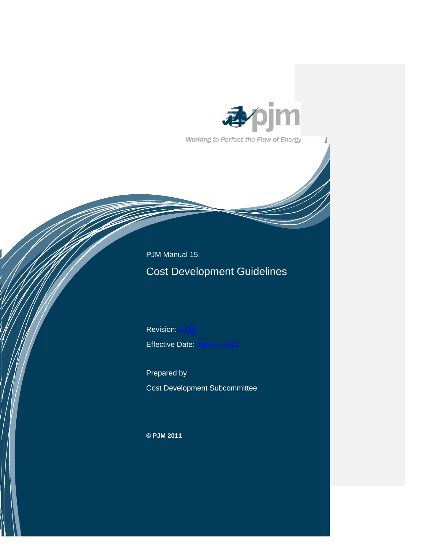

Working to Perfect the Flow of Energy

 PJM Manual 15: Cost Development Guidelines

Revision: 4718 Effective Date: June 1, 2011

Prepared by Cost Development Subcommittee

**© PJM 2011**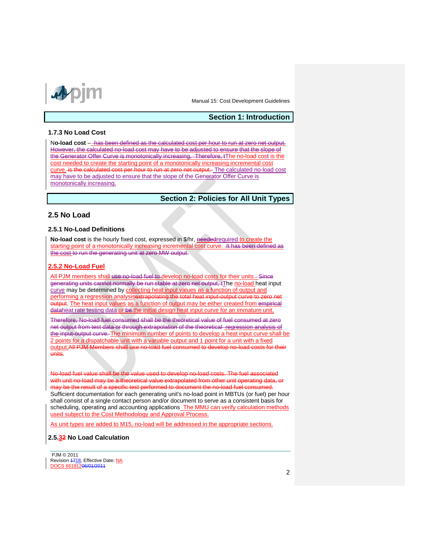

## **Section 1: Introduction**

### **1.7.3 No Load Cost**

N**o-load cost** – has been defined as the calculated cost per hour to run at zero net output. However, the calculated no-load cost may have to be adjusted to ensure that the slope of the Generator Offer Curve is monotonically increasing. Therefore, tThe no-load cost is the cost needed to create the starting point of a monotonically increasing incremental cost curve. is the calculated cost per hour to run at zero net output. The calculated no-load cost may have to be adjusted to ensure that the slope of the Generator Offer Curve is monotonically increasing.

# **Section 2: Policies for All Unit Types**

## **2.5 No Load**

## **2.5.1 No-Load Definitions**

**No-load cost** is the hourly fixed cost, expressed in \$/hr, neededrequired to create the starting point of a monotonically increasing incremental cost curve. 4t has been defined as the cost to run the generating unit at zero MW output.

### **2.5.2 No-Load Fuel**

All PJM members shall use no-load fuel to develop no-load costs for their units. Since generating units cannot normally be run stable at zero net output, tThe no-load heat input curve may be determined by collecting heat input values as a function of output and performing a regression analysisextrapolating the total heat input-output curve to zero output. The heat input values as a function of output may be either created from empirical dataheat rate testing data or be the initial design heat input curve for an immature unit.

Therefore, No-load fuel consumed shall be the theoretical value of fuel consumed at zero net output from test data or through extrapolation of the theoretical regression analysis of the input-output curve. The minimum number of points to develop a heat input curve shall be 2 points for a dispatchable unit with a variable output and 1 point for a unit with a fixed output.All PJM Members shall use no-load fuel consumed to develop no-load costs for their units.

No-load fuel value shall be the value used to develop no-load costs. The fuel associated with unit no-load may be a theoretical value extrapolated from other unit operating data, or may be the result of a specific test performed to document the no-load fuel consumed. Sufficient documentation for each generating unit's no-load point in MBTUs (or fuel) per hour shall consist of a single contact person and/or document to serve as a consistent basis for scheduling, operating and accounting applications The MMU can verify calculation methods used subject to the Cost Methodology and Approval Process.

As unit types are added to M15, no-load will be addressed in the appropriate sections.

### **2.5.32 No Load Calculation**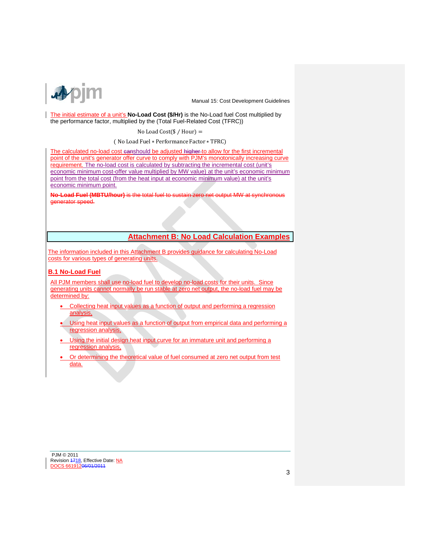

The initial estimate of a unit's **No-Load Cost (\$/Hr)** is the No-Load fuel Cost multiplied by the performance factor, multiplied by the (Total Fuel-Related Cost (TFRC))

#### No Load Cost( $$/$  Hour) =

( No Load Fuel ∗ Performance Factor ∗ TFRC)

The calculated no-load cost canshould be adjusted higher to allow for the first incremental point of the unit's generator offer curve to comply with PJM's monotonically increasing curve requirement. The no-load cost is calculated by subtracting the incremental cost (unit's economic minimum cost-offer value multiplied by MW value) at the unit's economic minimum point from the total cost (from the heat input at economic minimum value) at the unit's economic minimum point.

**No-Load Fuel (MBTU/hour)** is the total fuel to sustain zero net output MW at synchronous generator speed.

# **Attachment B: No Load Calculation Examples**

The information included in this Attachment B provides guidance for calculating No-Load costs for various types of generating units.

## **B.1 No-Load Fuel**

All PJM members shall use no-load fuel to develop no-load costs for their units. Since generating units cannot normally be run stable at zero net output, the no-load fuel may be determined by:

- Collecting heat input values as a function of output and performing a regression analysis,
- Using heat input values as a function of output from empirical data and performing a regression analysis,
- Using the initial design heat input curve for an immature unit and performing a regression analysis,
- Or determining the theoretical value of fuel consumed at zero net output from test data.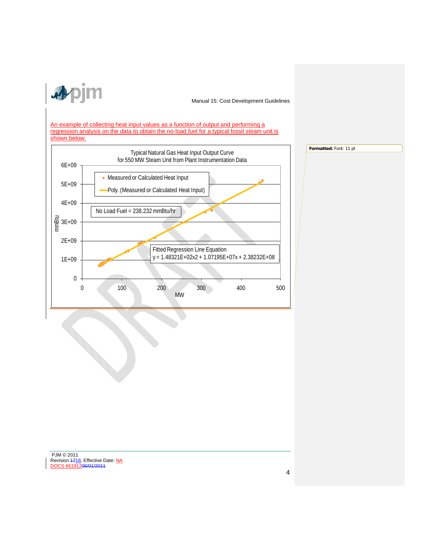

**Formatted:** Font: 11 pt

An example of collecting heat input values as a function of output and performing a regression analysis on the data to obtain the no-load fuel for a typical fossil steam unit is shown below:

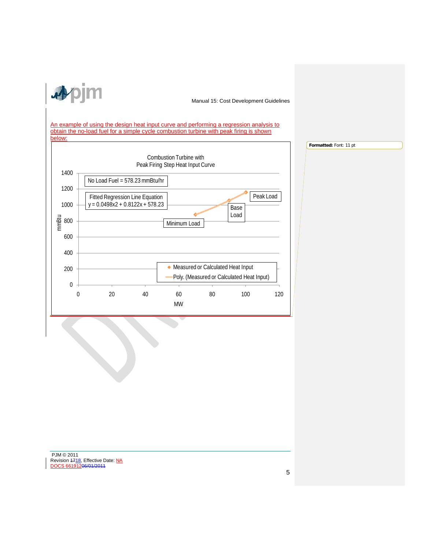

An example of using the design heat input curve and performing a regression analysis to obtain the no-load fuel for a simple cycle combustion turbine with peak firing is shown below:



**Formatted:** Font: 11 pt

PJM © 2011 Revision 4718, Effective Date: NA DOCS 66191206/01/2011

5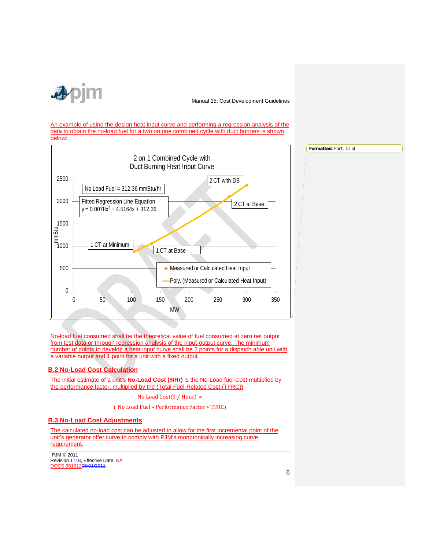

**Formatted:** Font: 11 pt

An example of using the design heat input curve and performing a regression analysis of the data to obtain the no-load fuel for a two on one combined cycle with duct burners is shown below:



No-load fuel consumed shall be the theoretical value of fuel consumed at zero net output from test data or through regression analysis of the input-output curve. The minimum number of points to develop a heat input curve shall be 2 points for a dispatch able unit with a variable output and 1 point for a unit with a fixed output.

## **B.2 No-Load Cost Calculation**

The initial estimate of a unit's **No-Load Cost (\$/Hr)** is the No-Load fuel Cost multiplied by the performance factor, multiplied by the (Total Fuel-Related Cost (TFRC))

No Load Cost $(\$ /$  Hour) =

( No Load Fuel ∗ Performance Factor ∗ TFRC)

## **B.3 No-Load Cost Adjustments**

The calculated no-load cost can be adjusted to allow for the first incremental point of the unit's generator offer curve to comply with PJM's monotonically increasing curve requirement.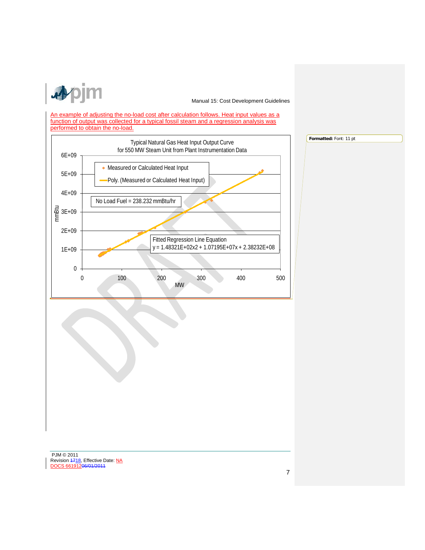

**Formatted:** Font: 11 pt

An example of adjusting the no-load cost after calculation follows. Heat input values as a function of output was collected for a typical fossil steam and a regression analysis was performed to obtain the no-load.

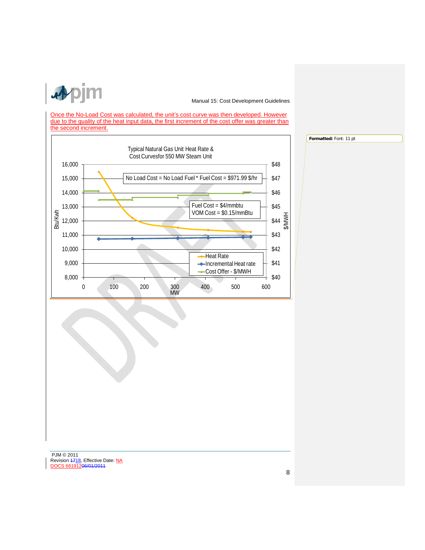

Once the No-Load Cost was calculated, the unit's cost curve was then developed. However due to the quality of the heat input data, the first increment of the cost offer was greater than the second increment.